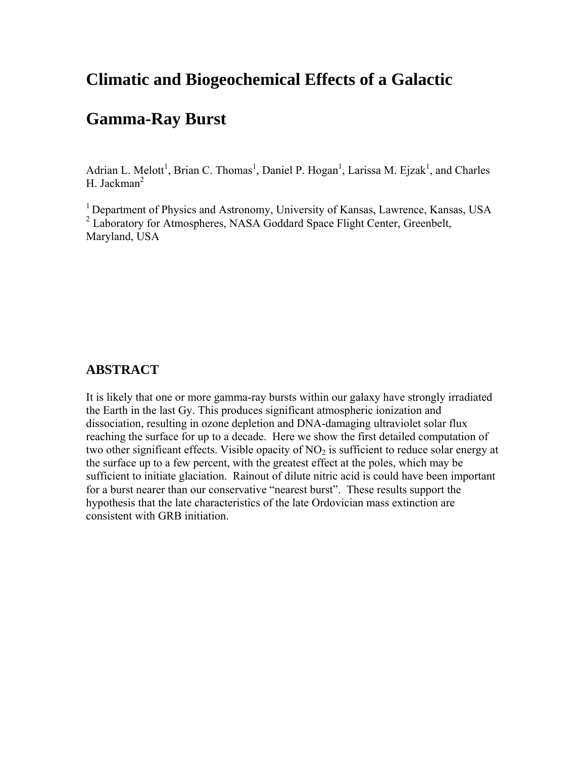# **Climatic and Biogeochemical Effects of a Galactic**

# **Gamma-Ray Burst**

Adrian L. Melott<sup>1</sup>, Brian C. Thomas<sup>1</sup>, Daniel P. Hogan<sup>1</sup>, Larissa M. Ejzak<sup>1</sup>, and Charles H. Jackman $2$ 

1 Department of Physics and Astronomy, University of Kansas, Lawrence, Kansas, USA <sup>2</sup> Laboratory for Atmospheres, NASA Goddard Space Flight Center, Greenbelt, Maryland, USA

#### **ABSTRACT**

It is likely that one or more gamma-ray bursts within our galaxy have strongly irradiated the Earth in the last Gy. This produces significant atmospheric ionization and dissociation, resulting in ozone depletion and DNA-damaging ultraviolet solar flux reaching the surface for up to a decade. Here we show the first detailed computation of two other significant effects. Visible opacity of  $NO<sub>2</sub>$  is sufficient to reduce solar energy at the surface up to a few percent, with the greatest effect at the poles, which may be sufficient to initiate glaciation. Rainout of dilute nitric acid is could have been important for a burst nearer than our conservative "nearest burst". These results support the hypothesis that the late characteristics of the late Ordovician mass extinction are consistent with GRB initiation.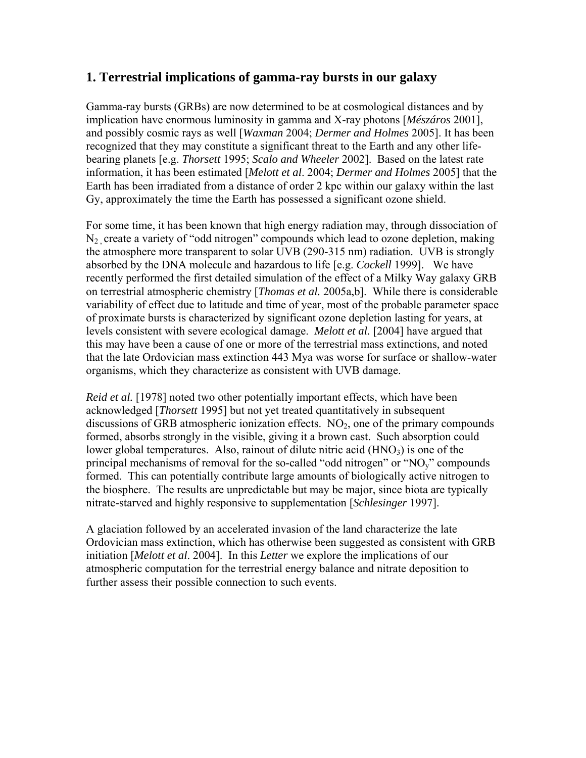#### **1. Terrestrial implications of gamma-ray bursts in our galaxy**

Gamma-ray bursts (GRBs) are now determined to be at cosmological distances and by implication have enormous luminosity in gamma and X-ray photons [*Mészáros* 2001], and possibly cosmic rays as well [*Waxman* 2004; *Dermer and Holmes* 2005]. It has been recognized that they may constitute a significant threat to the Earth and any other lifebearing planets [e.g. *Thorsett* 1995; *Scalo and Wheeler* 2002]. Based on the latest rate information, it has been estimated [*Melott et al*. 2004; *Dermer and Holmes* 2005] that the Earth has been irradiated from a distance of order 2 kpc within our galaxy within the last Gy, approximately the time the Earth has possessed a significant ozone shield.

For some time, it has been known that high energy radiation may, through dissociation of  $N_2$  create a variety of "odd nitrogen" compounds which lead to ozone depletion, making the atmosphere more transparent to solar UVB (290-315 nm) radiation. UVB is strongly absorbed by the DNA molecule and hazardous to life [e.g. *Cockell* 1999]. We have recently performed the first detailed simulation of the effect of a Milky Way galaxy GRB on terrestrial atmospheric chemistry [*Thomas et al.* 2005a,b]. While there is considerable variability of effect due to latitude and time of year, most of the probable parameter space of proximate bursts is characterized by significant ozone depletion lasting for years, at levels consistent with severe ecological damage. *Melott et al.* [2004] have argued that this may have been a cause of one or more of the terrestrial mass extinctions, and noted that the late Ordovician mass extinction 443 Mya was worse for surface or shallow-water organisms, which they characterize as consistent with UVB damage.

*Reid et al.* [1978] noted two other potentially important effects, which have been acknowledged [*Thorsett* 1995] but not yet treated quantitatively in subsequent discussions of GRB atmospheric ionization effects.  $NO<sub>2</sub>$ , one of the primary compounds formed, absorbs strongly in the visible, giving it a brown cast. Such absorption could lower global temperatures. Also, rainout of dilute nitric acid  $(HNO<sub>3</sub>)$  is one of the principal mechanisms of removal for the so-called "odd nitrogen" or "NOy" compounds formed. This can potentially contribute large amounts of biologically active nitrogen to the biosphere. The results are unpredictable but may be major, since biota are typically nitrate-starved and highly responsive to supplementation [*Schlesinger* 1997].

A glaciation followed by an accelerated invasion of the land characterize the late Ordovician mass extinction, which has otherwise been suggested as consistent with GRB initiation [*Melott et al*. 2004]. In this *Letter* we explore the implications of our atmospheric computation for the terrestrial energy balance and nitrate deposition to further assess their possible connection to such events.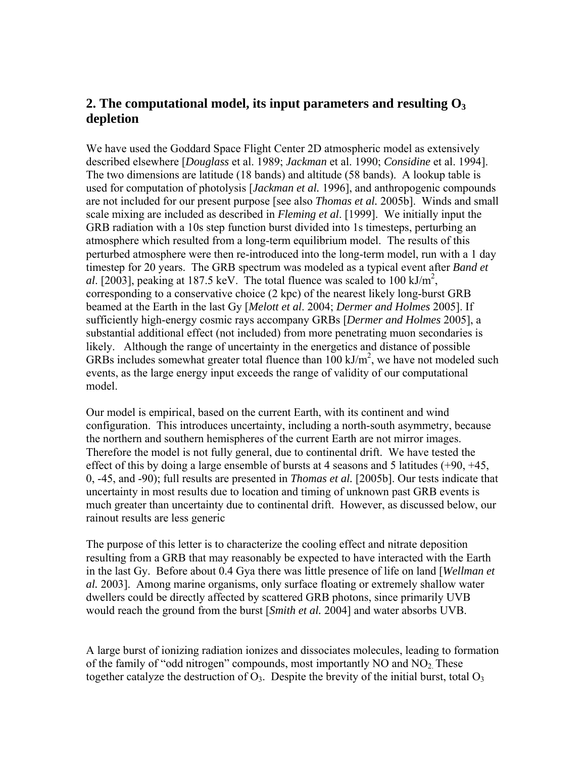### 2. The computational model, its input parameters and resulting  $O_3$ **depletion**

We have used the Goddard Space Flight Center 2D atmospheric model as extensively described elsewhere [*Douglass* et al. 1989; *Jackman* et al. 1990; *Considine* et al. 1994]. The two dimensions are latitude (18 bands) and altitude (58 bands). A lookup table is used for computation of photolysis [*Jackman et al.* 1996], and anthropogenic compounds are not included for our present purpose [see also *Thomas et al.* 2005b]. Winds and small scale mixing are included as described in *Fleming et al*. [1999]. We initially input the GRB radiation with a 10s step function burst divided into 1s timesteps, perturbing an atmosphere which resulted from a long-term equilibrium model. The results of this perturbed atmosphere were then re-introduced into the long-term model, run with a 1 day timestep for 20 years. The GRB spectrum was modeled as a typical event after *Band et*  al. [2003], peaking at 187.5 keV. The total fluence was scaled to 100 kJ/m<sup>2</sup>, corresponding to a conservative choice (2 kpc) of the nearest likely long-burst GRB beamed at the Earth in the last Gy [*Melott et al*. 2004; *Dermer and Holmes* 2005]. If sufficiently high-energy cosmic rays accompany GRBs [*Dermer and Holmes* 2005], a substantial additional effect (not included) from more penetrating muon secondaries is likely. Although the range of uncertainty in the energetics and distance of possible GRBs includes somewhat greater total fluence than  $100 \text{ kJ/m}^2$ , we have not modeled such events, as the large energy input exceeds the range of validity of our computational model.

Our model is empirical, based on the current Earth, with its continent and wind configuration. This introduces uncertainty, including a north-south asymmetry, because the northern and southern hemispheres of the current Earth are not mirror images. Therefore the model is not fully general, due to continental drift. We have tested the effect of this by doing a large ensemble of bursts at 4 seasons and 5 latitudes (+90, +45, 0, -45, and -90); full results are presented in *Thomas et al.* [2005b]. Our tests indicate that uncertainty in most results due to location and timing of unknown past GRB events is much greater than uncertainty due to continental drift. However, as discussed below, our rainout results are less generic

The purpose of this letter is to characterize the cooling effect and nitrate deposition resulting from a GRB that may reasonably be expected to have interacted with the Earth in the last Gy. Before about 0.4 Gya there was little presence of life on land [*Wellman et al.* 2003]. Among marine organisms, only surface floating or extremely shallow water dwellers could be directly affected by scattered GRB photons, since primarily UVB would reach the ground from the burst [*Smith et al.* 2004] and water absorbs UVB.

A large burst of ionizing radiation ionizes and dissociates molecules, leading to formation of the family of "odd nitrogen" compounds, most importantly  $NO$  and  $NO<sub>2</sub>$ . These together catalyze the destruction of  $O_3$ . Despite the brevity of the initial burst, total  $O_3$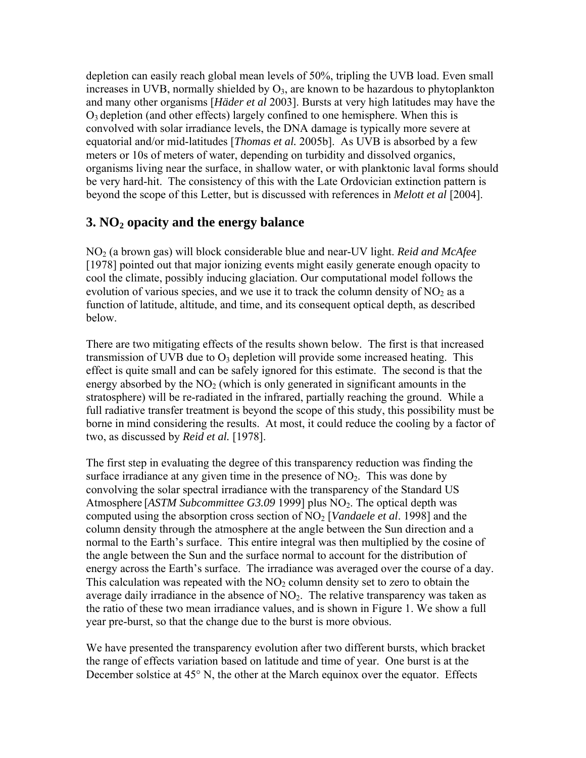depletion can easily reach global mean levels of 50%, tripling the UVB load. Even small increases in UVB, normally shielded by  $O_3$ , are known to be hazardous to phytoplankton and many other organisms [*Häder et al* 2003]. Bursts at very high latitudes may have the  $O<sub>3</sub>$  depletion (and other effects) largely confined to one hemisphere. When this is convolved with solar irradiance levels, the DNA damage is typically more severe at equatorial and/or mid-latitudes [*Thomas et al.* 2005b]. As UVB is absorbed by a few meters or 10s of meters of water, depending on turbidity and dissolved organics, organisms living near the surface, in shallow water, or with planktonic laval forms should be very hard-hit. The consistency of this with the Late Ordovician extinction pattern is beyond the scope of this Letter, but is discussed with references in *Melott et al* [2004].

### **3. NO<sub>2</sub> opacity and the energy balance**

NO2 (a brown gas) will block considerable blue and near-UV light. *Reid and McAfee* [1978] pointed out that major ionizing events might easily generate enough opacity to cool the climate, possibly inducing glaciation. Our computational model follows the evolution of various species, and we use it to track the column density of  $NO<sub>2</sub>$  as a function of latitude, altitude, and time, and its consequent optical depth, as described below.

There are two mitigating effects of the results shown below. The first is that increased transmission of UVB due to  $O_3$  depletion will provide some increased heating. This effect is quite small and can be safely ignored for this estimate. The second is that the energy absorbed by the  $NO<sub>2</sub>$  (which is only generated in significant amounts in the stratosphere) will be re-radiated in the infrared, partially reaching the ground. While a full radiative transfer treatment is beyond the scope of this study, this possibility must be borne in mind considering the results. At most, it could reduce the cooling by a factor of two, as discussed by *Reid et al.* [1978].

The first step in evaluating the degree of this transparency reduction was finding the surface irradiance at any given time in the presence of  $NO<sub>2</sub>$ . This was done by convolving the solar spectral irradiance with the transparency of the Standard US Atmosphere [*ASTM Subcommittee G3.09* 1999] plus NO<sub>2</sub>. The optical depth was computed using the absorption cross section of NO2 [*Vandaele et al*. 1998] and the column density through the atmosphere at the angle between the Sun direction and a normal to the Earth's surface. This entire integral was then multiplied by the cosine of the angle between the Sun and the surface normal to account for the distribution of energy across the Earth's surface. The irradiance was averaged over the course of a day. This calculation was repeated with the  $NO<sub>2</sub>$  column density set to zero to obtain the average daily irradiance in the absence of  $NO<sub>2</sub>$ . The relative transparency was taken as the ratio of these two mean irradiance values, and is shown in Figure 1. We show a full year pre-burst, so that the change due to the burst is more obvious.

We have presented the transparency evolution after two different bursts, which bracket the range of effects variation based on latitude and time of year. One burst is at the December solstice at 45<sup>°</sup> N, the other at the March equinox over the equator. Effects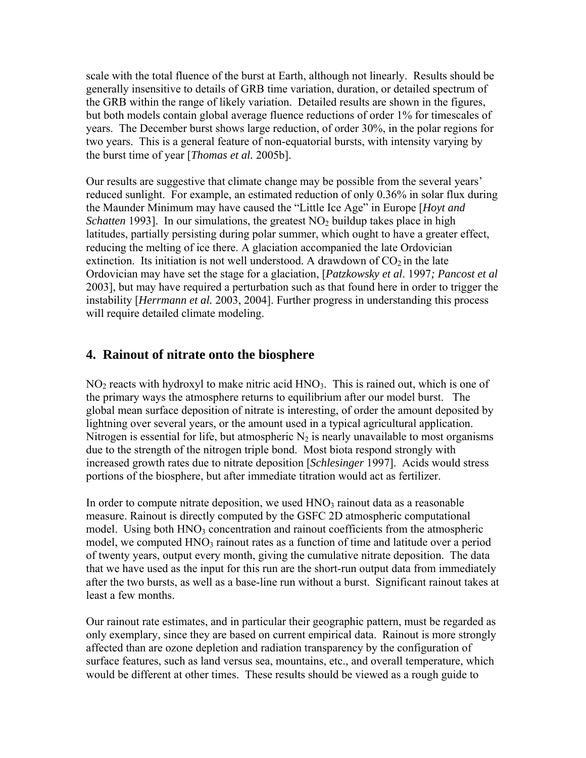scale with the total fluence of the burst at Earth, although not linearly. Results should be generally insensitive to details of GRB time variation, duration, or detailed spectrum of the GRB within the range of likely variation. Detailed results are shown in the figures, but both models contain global average fluence reductions of order 1% for timescales of years. The December burst shows large reduction, of order 30%, in the polar regions for two years. This is a general feature of non-equatorial bursts, with intensity varying by the burst time of year [*Thomas et al.* 2005b].

Our results are suggestive that climate change may be possible from the several years' reduced sunlight. For example, an estimated reduction of only 0.36% in solar flux during the Maunder Minimum may have caused the "Little Ice Age" in Europe [*Hoyt and Schatten* 1993]. In our simulations, the greatest  $NO<sub>2</sub>$  buildup takes place in high latitudes, partially persisting during polar summer, which ought to have a greater effect, reducing the melting of ice there. A glaciation accompanied the late Ordovician extinction. Its initiation is not well understood. A drawdown of  $CO<sub>2</sub>$  in the late Ordovician may have set the stage for a glaciation, [*Patzkowsky et al*. 1997*; Pancost et al* 2003], but may have required a perturbation such as that found here in order to trigger the instability [*Herrmann et al.* 2003, 2004]. Further progress in understanding this process will require detailed climate modeling.

### **4. Rainout of nitrate onto the biosphere**

 $NO<sub>2</sub>$  reacts with hydroxyl to make nitric acid  $HNO<sub>3</sub>$ . This is rained out, which is one of the primary ways the atmosphere returns to equilibrium after our model burst. The global mean surface deposition of nitrate is interesting, of order the amount deposited by lightning over several years, or the amount used in a typical agricultural application. Nitrogen is essential for life, but atmospheric  $N_2$  is nearly unavailable to most organisms due to the strength of the nitrogen triple bond. Most biota respond strongly with increased growth rates due to nitrate deposition [*Schlesinger* 1997]. Acids would stress portions of the biosphere, but after immediate titration would act as fertilizer.

In order to compute nitrate deposition, we used  $HNO<sub>3</sub>$  rainout data as a reasonable measure. Rainout is directly computed by the GSFC 2D atmospheric computational model. Using both HNO<sub>3</sub> concentration and rainout coefficients from the atmospheric model, we computed  $HNO<sub>3</sub>$  rainout rates as a function of time and latitude over a period of twenty years, output every month, giving the cumulative nitrate deposition. The data that we have used as the input for this run are the short-run output data from immediately after the two bursts, as well as a base-line run without a burst. Significant rainout takes at least a few months.

Our rainout rate estimates, and in particular their geographic pattern, must be regarded as only exemplary, since they are based on current empirical data. Rainout is more strongly affected than are ozone depletion and radiation transparency by the configuration of surface features, such as land versus sea, mountains, etc., and overall temperature, which would be different at other times. These results should be viewed as a rough guide to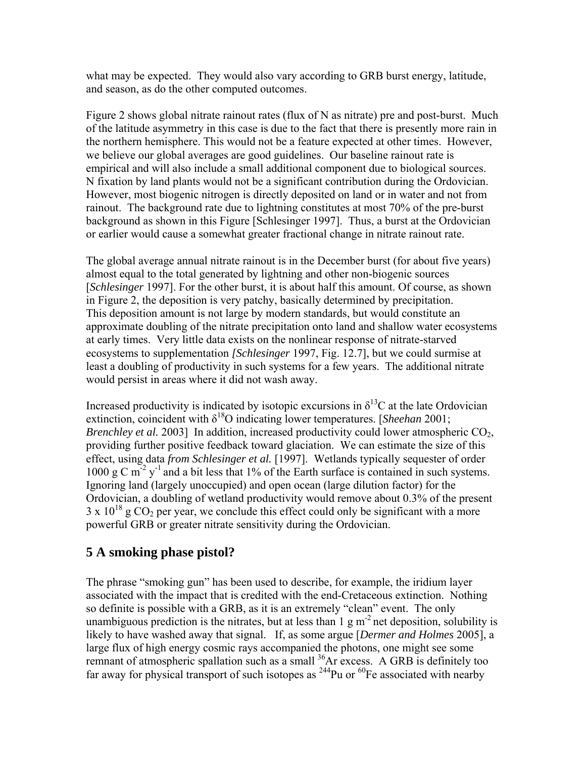what may be expected. They would also vary according to GRB burst energy, latitude, and season, as do the other computed outcomes.

Figure 2 shows global nitrate rainout rates (flux of N as nitrate) pre and post-burst. Much of the latitude asymmetry in this case is due to the fact that there is presently more rain in the northern hemisphere. This would not be a feature expected at other times. However, we believe our global averages are good guidelines. Our baseline rainout rate is empirical and will also include a small additional component due to biological sources. N fixation by land plants would not be a significant contribution during the Ordovician. However, most biogenic nitrogen is directly deposited on land or in water and not from rainout. The background rate due to lightning constitutes at most 70% of the pre-burst background as shown in this Figure [Schlesinger 1997]. Thus, a burst at the Ordovician or earlier would cause a somewhat greater fractional change in nitrate rainout rate.

The global average annual nitrate rainout is in the December burst (for about five years) almost equal to the total generated by lightning and other non-biogenic sources [*Schlesinger* 1997]. For the other burst, it is about half this amount. Of course, as shown in Figure 2, the deposition is very patchy, basically determined by precipitation. This deposition amount is not large by modern standards, but would constitute an approximate doubling of the nitrate precipitation onto land and shallow water ecosystems at early times. Very little data exists on the nonlinear response of nitrate-starved ecosystems to supplementation *[Schlesinger* 1997, Fig. 12.7], but we could surmise at least a doubling of productivity in such systems for a few years. The additional nitrate would persist in areas where it did not wash away.

Increased productivity is indicated by isotopic excursions in  $\delta^{13}$ C at the late Ordovician extinction, coincident with  $\delta^{18}O$  indicating lower temperatures. [*Sheehan* 2001; *Brenchley et al.* 2003] In addition, increased productivity could lower atmospheric CO<sub>2</sub>, providing further positive feedback toward glaciation. We can estimate the size of this effect, using data *from Schlesinger et al.* [1997]. Wetlands typically sequester of order 1000 g C  $m^{-2}$  y<sup>-1</sup> and a bit less that 1% of the Earth surface is contained in such systems. Ignoring land (largely unoccupied) and open ocean (large dilution factor) for the Ordovician, a doubling of wetland productivity would remove about 0.3% of the present  $3 \times 10^{18}$  g CO<sub>2</sub> per year, we conclude this effect could only be significant with a more powerful GRB or greater nitrate sensitivity during the Ordovician.

### **5 A smoking phase pistol?**

The phrase "smoking gun" has been used to describe, for example, the iridium layer associated with the impact that is credited with the end-Cretaceous extinction. Nothing so definite is possible with a GRB, as it is an extremely "clean" event. The only unambiguous prediction is the nitrates, but at less than  $1 \text{ g m}^2$  net deposition, solubility is likely to have washed away that signal. If, as some argue [*Dermer and Holmes* 2005], a large flux of high energy cosmic rays accompanied the photons, one might see some remnant of atmospheric spallation such as a small <sup>36</sup>Ar excess. A GRB is definitely too far away for physical transport of such isotopes as  $^{244}$ Pu or  $^{60}$ Fe associated with nearby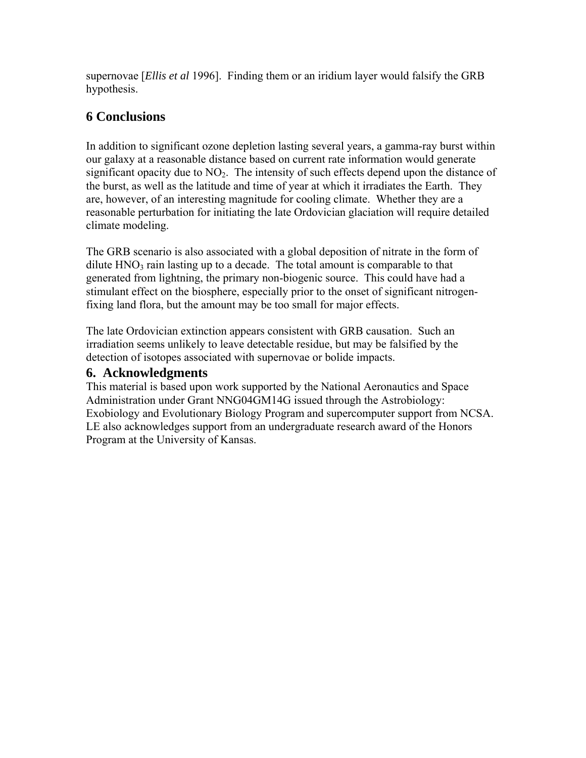supernovae [*Ellis et al* 1996]. Finding them or an iridium layer would falsify the GRB hypothesis.

## **6 Conclusions**

In addition to significant ozone depletion lasting several years, a gamma-ray burst within our galaxy at a reasonable distance based on current rate information would generate significant opacity due to  $NO<sub>2</sub>$ . The intensity of such effects depend upon the distance of the burst, as well as the latitude and time of year at which it irradiates the Earth. They are, however, of an interesting magnitude for cooling climate. Whether they are a reasonable perturbation for initiating the late Ordovician glaciation will require detailed climate modeling.

The GRB scenario is also associated with a global deposition of nitrate in the form of dilute  $HNO<sub>3</sub>$  rain lasting up to a decade. The total amount is comparable to that generated from lightning, the primary non-biogenic source. This could have had a stimulant effect on the biosphere, especially prior to the onset of significant nitrogenfixing land flora, but the amount may be too small for major effects.

The late Ordovician extinction appears consistent with GRB causation. Such an irradiation seems unlikely to leave detectable residue, but may be falsified by the detection of isotopes associated with supernovae or bolide impacts.

### **6. Acknowledgments**

This material is based upon work supported by the National Aeronautics and Space Administration under Grant NNG04GM14G issued through the Astrobiology: Exobiology and Evolutionary Biology Program and supercomputer support from NCSA. LE also acknowledges support from an undergraduate research award of the Honors Program at the University of Kansas.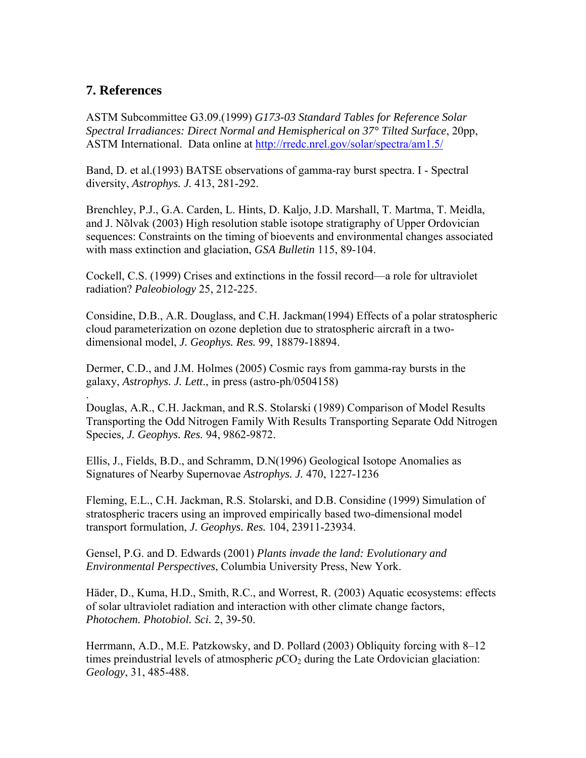#### **7. References**

ASTM Subcommittee G3.09.(1999) *G173-03 Standard Tables for Reference Solar Spectral Irradiances: Direct Normal and Hemispherical on 37° Tilted Surface*, 20pp, ASTM International. Data online at http://rredc.nrel.gov/solar/spectra/am1.5/

Band, D. et al.(1993) BATSE observations of gamma-ray burst spectra. I - Spectral diversity, *Astrophys. J.* 413, 281-292.

Brenchley, P.J., G.A. Carden, L. Hints, D. Kaljo, J.D. Marshall, T. Martma, T. Meidla, and J. Nõlvak (2003) High resolution stable isotope stratigraphy of Upper Ordovician sequences: Constraints on the timing of bioevents and environmental changes associated with mass extinction and glaciation, *GSA Bulletin* 115, 89-104.

Cockell, C.S. (1999) Crises and extinctions in the fossil record—a role for ultraviolet radiation? *Paleobiology* 25, 212-225.

Considine, D.B., A.R. Douglass, and C.H. Jackman(1994) Effects of a polar stratospheric cloud parameterization on ozone depletion due to stratospheric aircraft in a twodimensional model, *J. Geophys. Res.* 99, 18879-18894.

Dermer, C.D., and J.M. Holmes (2005) Cosmic rays from gamma-ray bursts in the galaxy, *Astrophys. J. Lett*., in press (astro-ph/0504158)

. Douglas, A.R., C.H. Jackman, and R.S. Stolarski (1989) Comparison of Model Results Transporting the Odd Nitrogen Family With Results Transporting Separate Odd Nitrogen Species*, J. Geophys. Res.* 94, 9862-9872.

Ellis, J., Fields, B.D., and Schramm, D.N(1996) Geological Isotope Anomalies as Signatures of Nearby Supernovae *Astrophys. J.* 470, 1227-1236

Fleming, E.L., C.H. Jackman, R.S. Stolarski, and D.B. Considine (1999) Simulation of stratospheric tracers using an improved empirically based two-dimensional model transport formulation, *J. Geophys. Res.* 104, 23911-23934.

Gensel, P.G. and D. Edwards (2001) *Plants invade the land: Evolutionary and Environmental Perspectives*, Columbia University Press, New York.

Häder, D., Kuma, H.D., Smith, R.C., and Worrest, R. (2003) Aquatic ecosystems: effects of solar ultraviolet radiation and interaction with other climate change factors, *Photochem. Photobiol. Sci.* 2, 39-50.

Herrmann, A.D., M.E. Patzkowsky, and D. Pollard (2003) Obliquity forcing with 8–12 times preindustrial levels of atmospheric  $pCO<sub>2</sub>$  during the Late Ordovician glaciation: *Geology*, 31, 485-488.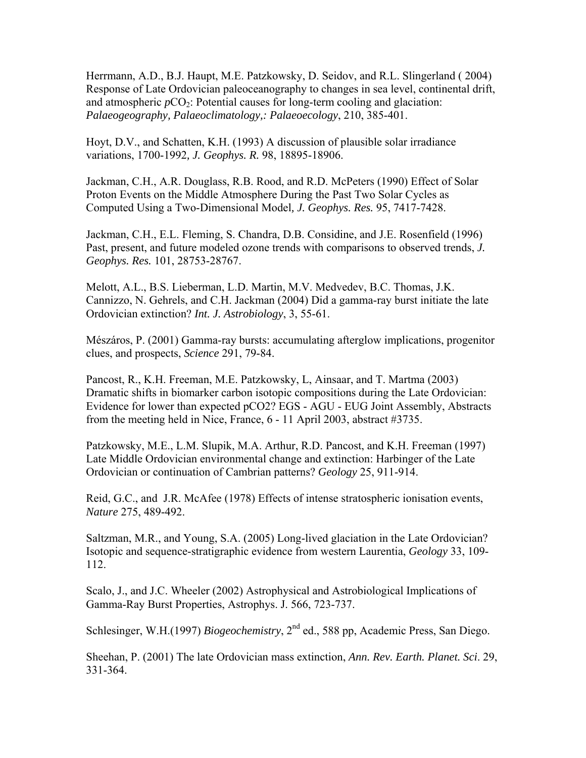Herrmann, A.D., B.J. Haupt, M.E. Patzkowsky, D. Seidov, and R.L. Slingerland ( 2004) Response of Late Ordovician paleoceanography to changes in sea level, continental drift, and atmospheric  $pCO_2$ : Potential causes for long-term cooling and glaciation: *Palaeogeography, Palaeoclimatology,: Palaeoecology*, 210, 385-401.

Hoyt, D.V., and Schatten, K.H. (1993) A discussion of plausible solar irradiance variations, 1700-1992*, J. Geophys. R.* 98, 18895-18906.

Jackman, C.H., A.R. Douglass, R.B. Rood, and R.D. McPeters (1990) Effect of Solar Proton Events on the Middle Atmosphere During the Past Two Solar Cycles as Computed Using a Two-Dimensional Model*, J. Geophys. Res.* 95, 7417-7428.

Jackman, C.H., E.L. Fleming, S. Chandra, D.B. Considine, and J.E. Rosenfield (1996) Past, present, and future modeled ozone trends with comparisons to observed trends, *J. Geophys. Res.* 101, 28753-28767.

Melott, A.L., B.S. Lieberman, L.D. Martin, M.V. Medvedev, B.C. Thomas, J.K. Cannizzo, N. Gehrels, and C.H. Jackman (2004) Did a gamma-ray burst initiate the late Ordovician extinction? *Int. J. Astrobiology*, 3, 55-61.

Mészáros, P. (2001) Gamma-ray bursts: accumulating afterglow implications, progenitor clues, and prospects, *Science* 291, 79-84.

Pancost, R., K.H. Freeman, M.E. Patzkowsky, L, Ainsaar, and T. Martma (2003) Dramatic shifts in biomarker carbon isotopic compositions during the Late Ordovician: Evidence for lower than expected pCO2? EGS - AGU - EUG Joint Assembly, Abstracts from the meeting held in Nice, France, 6 - 11 April 2003, abstract #3735.

Patzkowsky, M.E., L.M. Slupik, M.A. Arthur, R.D. Pancost, and K.H. Freeman (1997) Late Middle Ordovician environmental change and extinction: Harbinger of the Late Ordovician or continuation of Cambrian patterns? *Geology* 25, 911-914.

Reid, G.C., and J.R. McAfee (1978) Effects of intense stratospheric ionisation events, *Nature* 275, 489-492.

Saltzman, M.R., and Young, S.A. (2005) Long-lived glaciation in the Late Ordovician? Isotopic and sequence-stratigraphic evidence from western Laurentia, *Geology* 33, 109- 112.

Scalo, J., and J.C. Wheeler (2002) Astrophysical and Astrobiological Implications of Gamma-Ray Burst Properties, Astrophys. J. 566, 723-737.

Schlesinger, W.H.(1997) *Biogeochemistry*, 2<sup>nd</sup> ed., 588 pp, Academic Press, San Diego.

Sheehan, P. (2001) The late Ordovician mass extinction, *Ann. Rev. Earth. Planet. Sci*. 29, 331-364.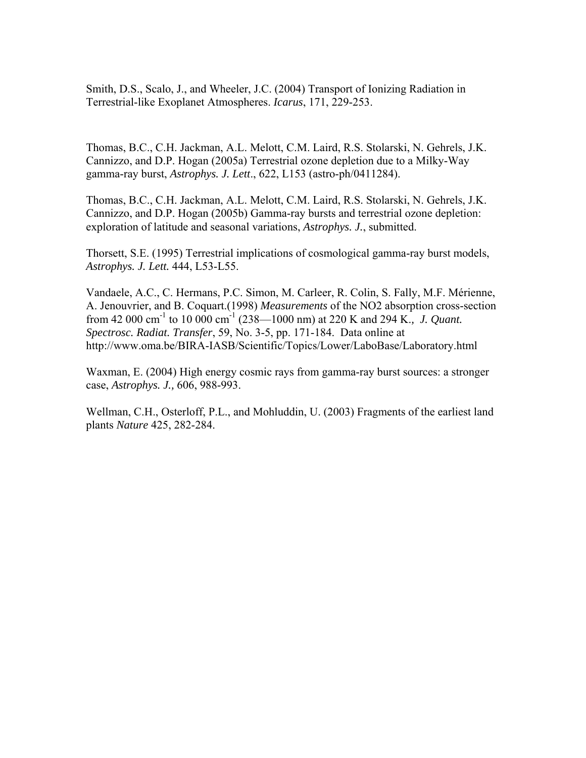Smith, D.S., Scalo, J., and Wheeler, J.C. (2004) Transport of Ionizing Radiation in Terrestrial-like Exoplanet Atmospheres. *Icarus*, 171, 229-253.

Thomas, B.C., C.H. Jackman, A.L. Melott, C.M. Laird, R.S. Stolarski, N. Gehrels, J.K. Cannizzo, and D.P. Hogan (2005a) Terrestrial ozone depletion due to a Milky-Way gamma-ray burst, *Astrophys. J. Lett*., 622, L153 (astro-ph/0411284).

Thomas, B.C., C.H. Jackman, A.L. Melott, C.M. Laird, R.S. Stolarski, N. Gehrels, J.K. Cannizzo, and D.P. Hogan (2005b) Gamma-ray bursts and terrestrial ozone depletion: exploration of latitude and seasonal variations, *Astrophys. J.*, submitted.

Thorsett, S.E. (1995) Terrestrial implications of cosmological gamma-ray burst models, *Astrophys. J. Lett.* 444, L53-L55.

Vandaele, A.C., C. Hermans, P.C. Simon, M. Carleer, R. Colin, S. Fally, M.F. Mérienne, A. Jenouvrier, and B. Coquart.(1998) *Measurements* of the NO2 absorption cross-section from 42 000 cm-1 to 10 000 cm-1 (238—1000 nm) at 220 K and 294 K.*, J. Quant. Spectrosc. Radiat. Transfer*, 59, No. 3-5, pp. 171-184. Data online at http://www.oma.be/BIRA-IASB/Scientific/Topics/Lower/LaboBase/Laboratory.html

Waxman, E. (2004) High energy cosmic rays from gamma-ray burst sources: a stronger case, *Astrophys. J.,* 606, 988-993.

Wellman, C.H., Osterloff, P.L., and Mohluddin, U. (2003) Fragments of the earliest land plants *Nature* 425, 282-284.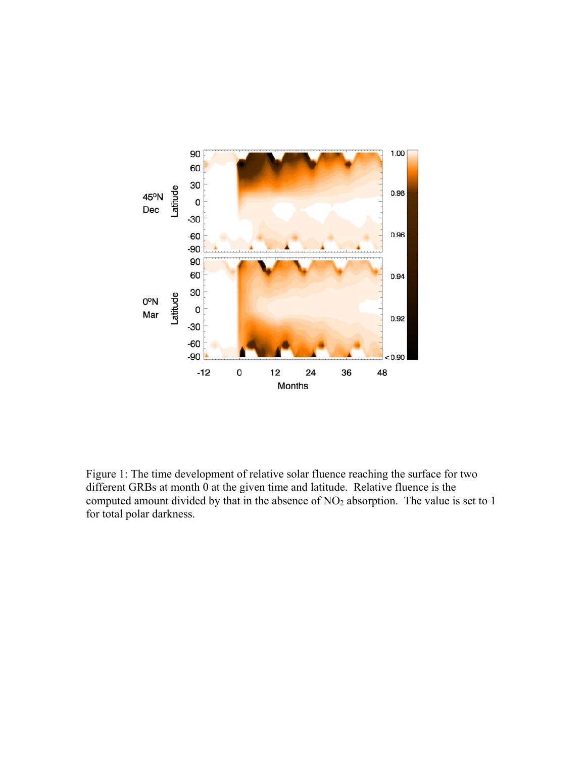

Figure 1: The time development of relative solar fluence reaching the surface for two different GRBs at month 0 at the given time and latitude. Relative fluence is the computed amount divided by that in the absence of  $NO<sub>2</sub>$  absorption. The value is set to 1 for total polar darkness.